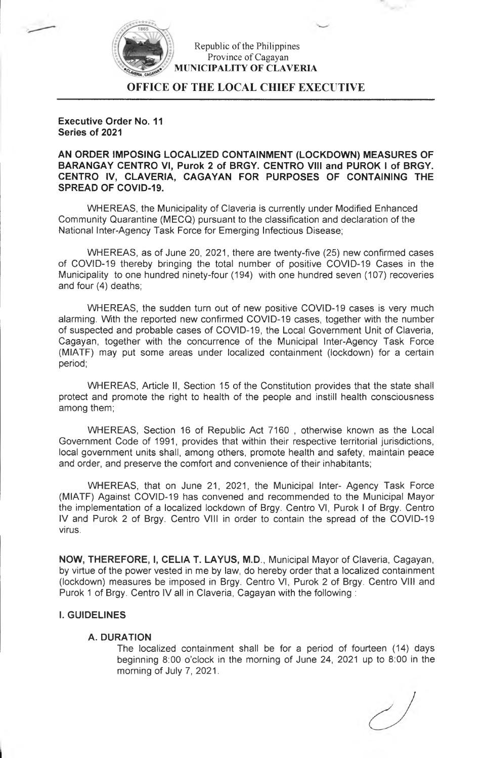

Republic of the Philippines Province of Cagayan **MUNICIPALITY OF CLAVERIA**

**OFFICE OF THE LOCAL CHIEF EXECUTIVE**

**Executive Order No. 11 Series of 2021**

**AN ORDER IMPOSING LOCALIZED CONTAINMENT (LOCKDOWN) MEASURES OF BARANGAY CENTRO VI, Purok 2 of BRGY. CENTRO VIII and PUROK <sup>I</sup> of BRGY. CENTRO IV, CLAVERIA, CAGAYAN FOR PURPOSES OF CONTAINING THE SPREAD OF COVID-19.**

WHEREAS, the Municipality of Claveria is currently under Modified Enhanced Community Quarantine (MECQ) pursuant to the classification and declaration of the National Inter-Agency Task Force for Emerging Infectious Disease;

WHEREAS, as of June 20, 2021, there are twenty-five (25) new confirmed cases of COVID-19 thereby bringing the total number of positive COVID-19 Cases in the Municipality to one hundred ninety-four (194) with one hundred seven (107) recoveries and four (4) deaths;

WHEREAS, the sudden turn out of new positive COVID-19 cases is very much alarming. With the reported new confirmed COVID-19 cases, together with the number of suspected and probable cases of COVID-19, the Local Government Unit of Claveria, Cagayan, together with the concurrence of the Municipal Inter-Agency Task Force (MIATF) may put some areas under localized containment (lockdown) for a certain period;

WHEREAS, Article II, Section 15 of the Constitution provides that the state shall protect and promote the right to health of the people and instill health consciousness among them;

WHEREAS, Section 16 of Republic Act 7160 , otherwise known as the Local Government Code of 1991, provides that within their respective territorial jurisdictions, local government units shall, among others, promote health and safety, maintain peace and order, and preserve the comfort and convenience of their inhabitants;

WHEREAS, that on June 21, 2021, the Municipal Inter- Agency Task Force (MIATF) Against COVID-19 has convened and recommended to the Municipal Mayor the implementation of a localized lockdown of Brgy. Centro VI, Purok <sup>I</sup> of Brgy. Centro IV and Purok 2 of Brgy. Centro VIII in order to contain the spread of the COVID-19 virus.

**NOW, THEREFORE, I, CELIA T. LAYUS, M.D.,** Municipal Mayor of Claveria, Cagayan, by virtue of the power vested in me by law, do hereby order that a localized containment (lockdown) measures be imposed in Brgy. Centro VI, Purok 2 of Brgy. Centro VIII and Purok <sup>1</sup> of Brgy. Centro IV all in Claveria, Cagayan with the following :

# **I. GUIDELINES**

# **A. DURATION**

The localized containment shall be for a period of fourteen (14) days beginning 8:00 o'clock in the morning of June 24, 2021 up to 8:00 in the morning of July 7, 2021.